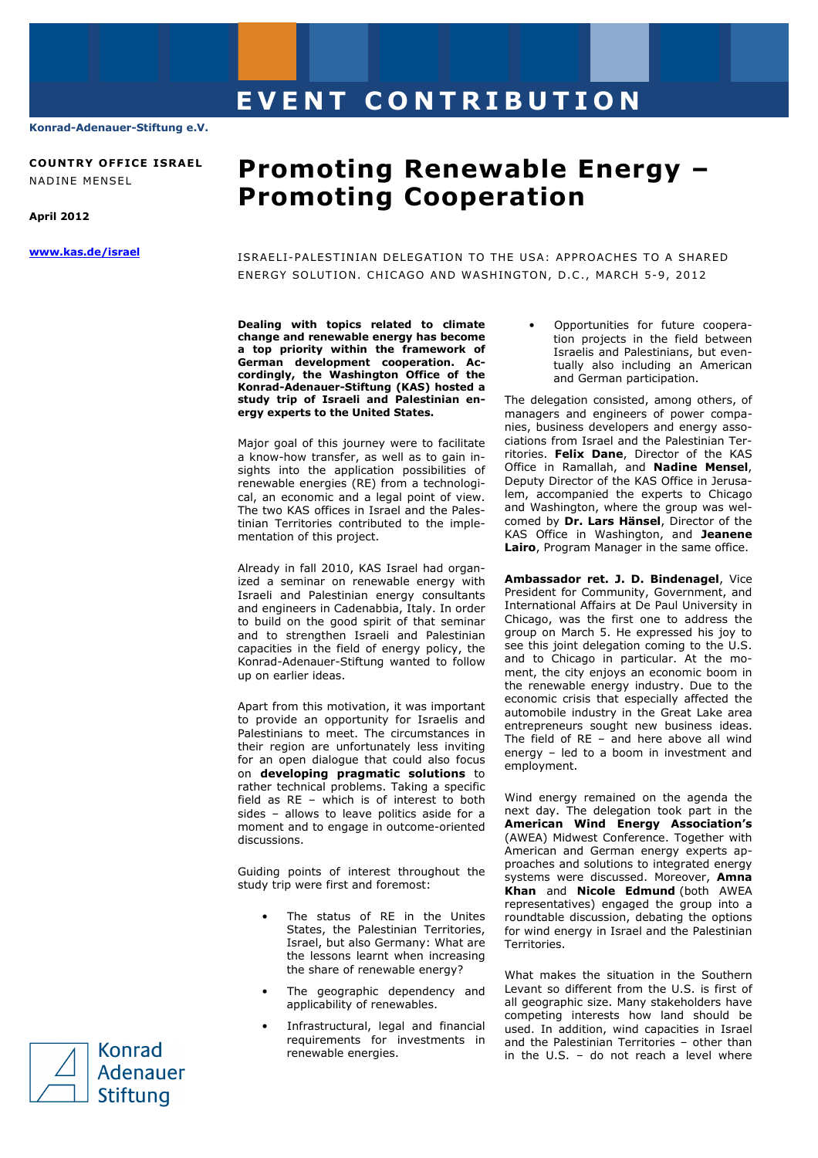**Konrad-Adenauer-Stiftung e.V.** 

**COUNTRY OFFICE ISRAEL** NADINE MENSEL

**April 2012** 

**www.kas.de/israel** 

# **Promoting Renewable Energy – Promoting Cooperation**

ISRAELI-PALESTINIAN DELEGATION TO THE USA: APPROACHES TO A SHARED ENERGY SOLUTION, CHICAGO AND WASHINGTON, D.C., MARCH 5-9, 2012

**Dealing with topics related to climate change and renewable energy has become a top priority within the framework of German development cooperation. Accordingly, the Washington Office of the Konrad-Adenauer-Stiftung (KAS) hosted a study trip of Israeli and Palestinian energy experts to the United States.** 

Major goal of this journey were to facilitate a know-how transfer, as well as to gain insights into the application possibilities of renewable energies (RE) from a technological, an economic and a legal point of view. The two KAS offices in Israel and the Palestinian Territories contributed to the implementation of this project.

Already in fall 2010, KAS Israel had organized a seminar on renewable energy with Israeli and Palestinian energy consultants and engineers in Cadenabbia, Italy. In order to build on the good spirit of that seminar and to strengthen Israeli and Palestinian capacities in the field of energy policy, the Konrad-Adenauer-Stiftung wanted to follow up on earlier ideas.

Apart from this motivation, it was important to provide an opportunity for Israelis and Palestinians to meet. The circumstances in their region are unfortunately less inviting for an open dialogue that could also focus on **developing pragmatic solutions** to rather technical problems. Taking a specific field as RE – which is of interest to both sides – allows to leave politics aside for a moment and to engage in outcome-oriented discussions.

Guiding points of interest throughout the study trip were first and foremost:

- The status of RF in the Unites States, the Palestinian Territories, Israel, but also Germany: What are the lessons learnt when increasing the share of renewable energy?
- The geographic dependency and applicability of renewables.
- Infrastructural, legal and financial requirements for investments in renewable energies.

• Opportunities for future cooperation projects in the field between Israelis and Palestinians, but eventually also including an American and German participation.

The delegation consisted, among others, of managers and engineers of power companies, business developers and energy associations from Israel and the Palestinian Territories. **Felix Dane**, Director of the KAS Office in Ramallah, and **Nadine Mensel**, Deputy Director of the KAS Office in Jerusalem, accompanied the experts to Chicago and Washington, where the group was welcomed by **Dr. Lars Hänsel**, Director of the KAS Office in Washington, and **Jeanene Lairo**, Program Manager in the same office.

**Ambassador ret. J. D. Bindenagel**, Vice President for Community, Government, and International Affairs at De Paul University in Chicago, was the first one to address the group on March 5. He expressed his joy to see this joint delegation coming to the U.S. and to Chicago in particular. At the moment, the city enjoys an economic boom in the renewable energy industry. Due to the economic crisis that especially affected the automobile industry in the Great Lake area entrepreneurs sought new business ideas. The field of RE – and here above all wind energy – led to a boom in investment and employment.

Wind energy remained on the agenda the next day. The delegation took part in the **American Wind Energy Association's**  (AWEA) Midwest Conference. Together with American and German energy experts approaches and solutions to integrated energy systems were discussed. Moreover, **Amna Khan** and **Nicole Edmund** (both AWEA representatives) engaged the group into a roundtable discussion, debating the options for wind energy in Israel and the Palestinian **Territories** 

What makes the situation in the Southern Levant so different from the U.S. is first of all geographic size. Many stakeholders have competing interests how land should be used. In addition, wind capacities in Israel and the Palestinian Territories – other than in the U.S. – do not reach a level where

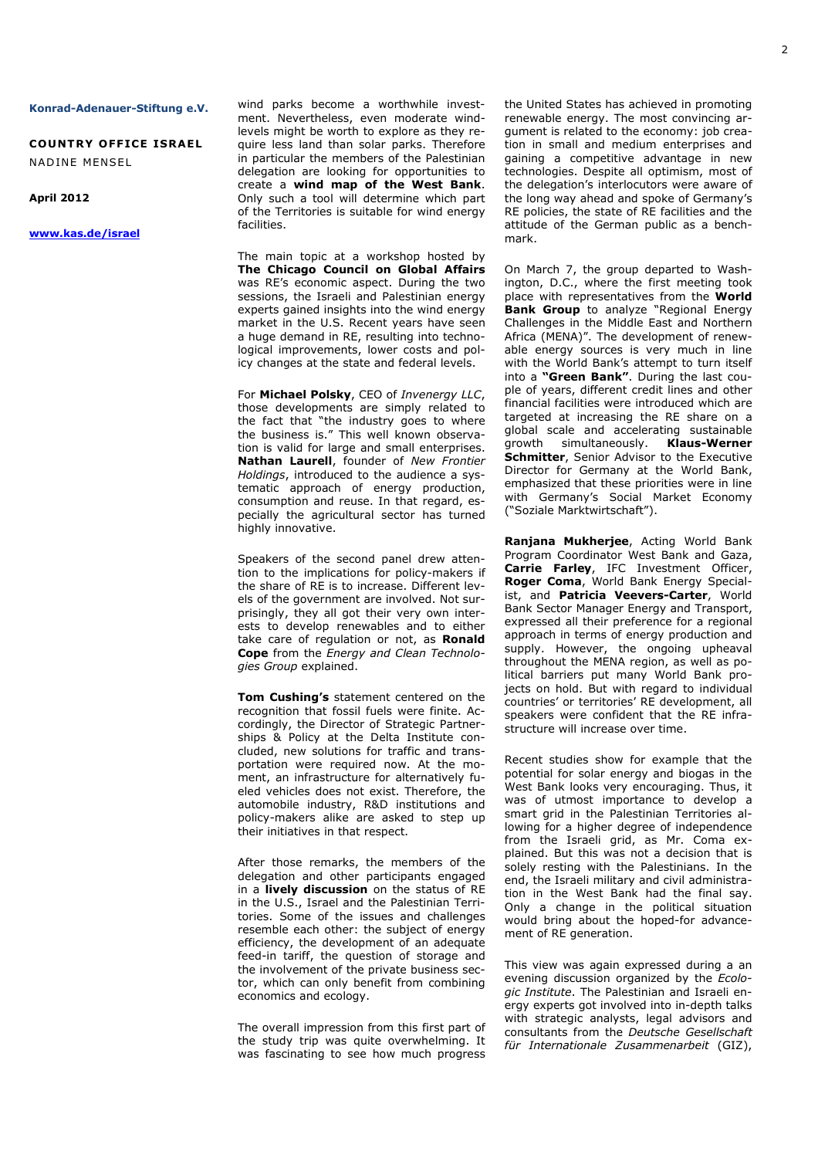### **Konrad-Adenauer-Stiftung e.V.**

**COUNTRY OFFICE ISRAEL** NAD INE MENSEL

## **April 2012**

#### **www.kas.de/israel**

wind parks become a worthwhile investment. Nevertheless, even moderate windlevels might be worth to explore as they require less land than solar parks. Therefore in particular the members of the Palestinian delegation are looking for opportunities to create a **wind map of the West Bank**. Only such a tool will determine which part of the Territories is suitable for wind energy facilities.

The main topic at a workshop hosted by **The Chicago Council on Global Affairs** was RE's economic aspect. During the two sessions, the Israeli and Palestinian energy experts gained insights into the wind energy market in the U.S. Recent years have seen a huge demand in RE, resulting into technological improvements, lower costs and policy changes at the state and federal levels.

For **Michael Polsky**, CEO of *Invenergy LLC*, those developments are simply related to the fact that "the industry goes to where the business is." This well known observation is valid for large and small enterprises. **Nathan Laurell**, founder of *New Frontier Holdings*, introduced to the audience a systematic approach of energy production, consumption and reuse. In that regard, especially the agricultural sector has turned highly innovative.

Speakers of the second panel drew attention to the implications for policy-makers if the share of RE is to increase. Different levels of the government are involved. Not surprisingly, they all got their very own interests to develop renewables and to either take care of regulation or not, as **Ronald Cope** from the *Energy and Clean Technologies Group* explained.

**Tom Cushing's** statement centered on the recognition that fossil fuels were finite. Accordingly, the Director of Strategic Partnerships & Policy at the Delta Institute concluded, new solutions for traffic and transportation were required now. At the moment, an infrastructure for alternatively fueled vehicles does not exist. Therefore, the automobile industry, R&D institutions and policy-makers alike are asked to step up their initiatives in that respect.

After those remarks, the members of the delegation and other participants engaged in a **lively discussion** on the status of RE in the U.S., Israel and the Palestinian Territories. Some of the issues and challenges resemble each other: the subject of energy efficiency, the development of an adequate feed-in tariff, the question of storage and the involvement of the private business sector, which can only benefit from combining economics and ecology.

The overall impression from this first part of the study trip was quite overwhelming. It was fascinating to see how much progress

the United States has achieved in promoting renewable energy. The most convincing argument is related to the economy: job creation in small and medium enterprises and gaining a competitive advantage in new technologies. Despite all optimism, most of the delegation's interlocutors were aware of the long way ahead and spoke of Germany's RE policies, the state of RE facilities and the attitude of the German public as a benchmark.

On March 7, the group departed to Washington, D.C., where the first meeting took place with representatives from the **World Bank Group** to analyze "Regional Energy Challenges in the Middle East and Northern Africa (MENA)". The development of renewable energy sources is very much in line with the World Bank's attempt to turn itself into a **"Green Bank"**. During the last couple of years, different credit lines and other financial facilities were introduced which are targeted at increasing the RE share on a global scale and accelerating sustainable growth simultaneously. **Klaus-Werner Schmitter**, Senior Advisor to the Executive Director for Germany at the World Bank, emphasized that these priorities were in line with Germany's Social Market Economy ("Soziale Marktwirtschaft").

**Ranjana Mukherjee**, Acting World Bank Program Coordinator West Bank and Gaza, **Carrie Farley**, IFC Investment Officer, **Roger Coma**, World Bank Energy Specialist, and **Patricia Veevers-Carter**, World Bank Sector Manager Energy and Transport, expressed all their preference for a regional approach in terms of energy production and supply. However, the ongoing upheaval throughout the MENA region, as well as political barriers put many World Bank projects on hold. But with regard to individual countries' or territories' RE development, all speakers were confident that the RE infrastructure will increase over time.

Recent studies show for example that the potential for solar energy and biogas in the West Bank looks very encouraging. Thus, it was of utmost importance to develop a smart grid in the Palestinian Territories allowing for a higher degree of independence from the Israeli grid, as Mr. Coma explained. But this was not a decision that is solely resting with the Palestinians. In the end, the Israeli military and civil administration in the West Bank had the final say. Only a change in the political situation would bring about the hoped-for advancement of RE generation.

This view was again expressed during a an evening discussion organized by the *Ecologic Institute*. The Palestinian and Israeli energy experts got involved into in-depth talks with strategic analysts, legal advisors and consultants from the *Deutsche Gesellschaft für Internationale Zusammenarbeit* (GIZ),